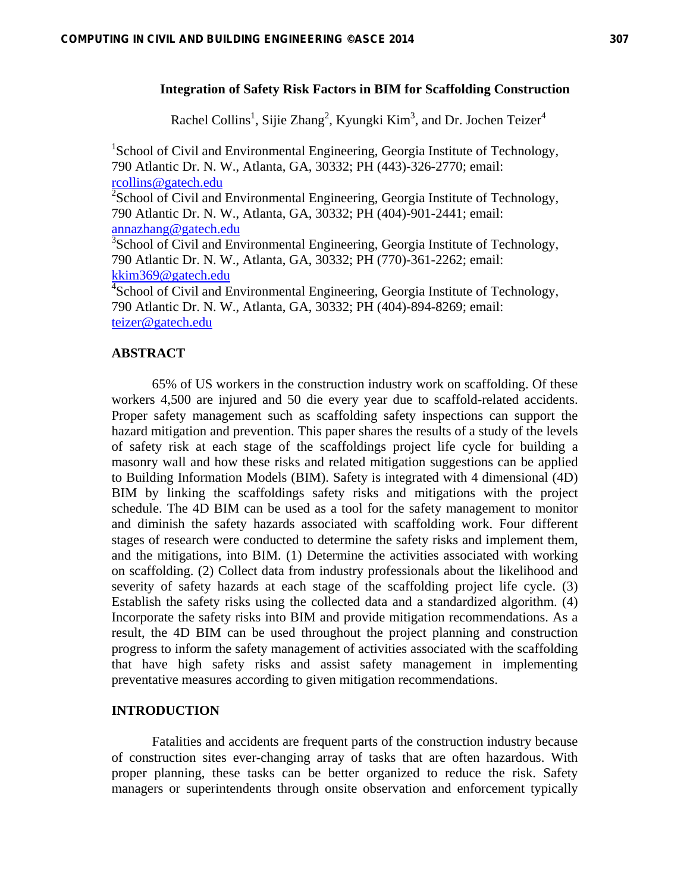Rachel Collins<sup>1</sup>, Sijie Zhang<sup>2</sup>, Kyungki Kim<sup>3</sup>, and Dr. Jochen Teizer<sup>4</sup>

<sup>1</sup>School of Civil and Environmental Engineering, Georgia Institute of Technology, 790 Atlantic Dr. N. W., Atlanta, GA, 30332; PH (443)-326-2770; email: rcollins@gatech.edu  $2$ School of Civil and Environmental Engineering, Georgia Institute of Technology, 790 Atlantic Dr. N. W., Atlanta, GA, 30332; PH (404)-901-2441; email: annazhang@gatech.edu <sup>3</sup>School of Civil and Environmental Engineering, Georgia Institute of Technology, 790 Atlantic Dr. N. W., Atlanta, GA, 30332; PH (770)-361-2262; email: kkim369@gatech.edu <sup>4</sup>School of Civil and Environmental Engineering, Georgia Institute of Technology, 790 Atlantic Dr. N. W., Atlanta, GA, 30332; PH (404)-894-8269; email: teizer@gatech.edu

### **ABSTRACT**

65% of US workers in the construction industry work on scaffolding. Of these workers 4,500 are injured and 50 die every year due to scaffold-related accidents. Proper safety management such as scaffolding safety inspections can support the hazard mitigation and prevention. This paper shares the results of a study of the levels of safety risk at each stage of the scaffoldings project life cycle for building a masonry wall and how these risks and related mitigation suggestions can be applied to Building Information Models (BIM). Safety is integrated with 4 dimensional (4D) BIM by linking the scaffoldings safety risks and mitigations with the project schedule. The 4D BIM can be used as a tool for the safety management to monitor and diminish the safety hazards associated with scaffolding work. Four different stages of research were conducted to determine the safety risks and implement them, and the mitigations, into BIM. (1) Determine the activities associated with working on scaffolding. (2) Collect data from industry professionals about the likelihood and severity of safety hazards at each stage of the scaffolding project life cycle. (3) Establish the safety risks using the collected data and a standardized algorithm. (4) Incorporate the safety risks into BIM and provide mitigation recommendations. As a result, the 4D BIM can be used throughout the project planning and construction progress to inform the safety management of activities associated with the scaffolding that have high safety risks and assist safety management in implementing preventative measures according to given mitigation recommendations.

#### **INTRODUCTION**

 Fatalities and accidents are frequent parts of the construction industry because of construction sites ever-changing array of tasks that are often hazardous. With proper planning, these tasks can be better organized to reduce the risk. Safety managers or superintendents through onsite observation and enforcement typically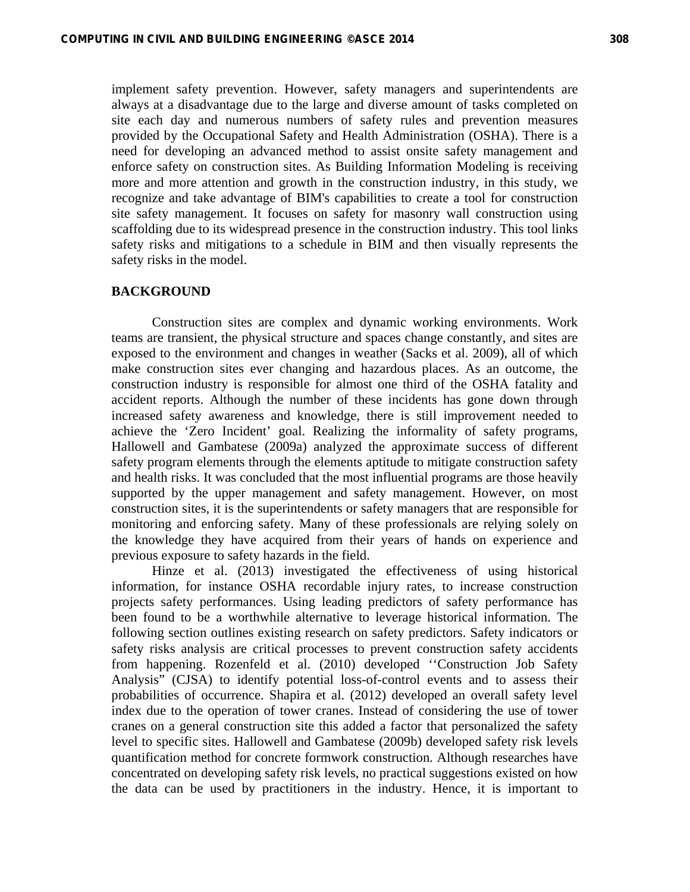implement safety prevention. However, safety managers and superintendents are always at a disadvantage due to the large and diverse amount of tasks completed on site each day and numerous numbers of safety rules and prevention measures provided by the Occupational Safety and Health Administration (OSHA). There is a need for developing an advanced method to assist onsite safety management and enforce safety on construction sites. As Building Information Modeling is receiving more and more attention and growth in the construction industry, in this study, we recognize and take advantage of BIM's capabilities to create a tool for construction site safety management. It focuses on safety for masonry wall construction using scaffolding due to its widespread presence in the construction industry. This tool links safety risks and mitigations to a schedule in BIM and then visually represents the safety risks in the model.

#### **BACKGROUND**

 Construction sites are complex and dynamic working environments. Work teams are transient, the physical structure and spaces change constantly, and sites are exposed to the environment and changes in weather (Sacks et al. 2009), all of which make construction sites ever changing and hazardous places. As an outcome, the construction industry is responsible for almost one third of the OSHA fatality and accident reports. Although the number of these incidents has gone down through increased safety awareness and knowledge, there is still improvement needed to achieve the 'Zero Incident' goal. Realizing the informality of safety programs, Hallowell and Gambatese (2009a) analyzed the approximate success of different safety program elements through the elements aptitude to mitigate construction safety and health risks. It was concluded that the most influential programs are those heavily supported by the upper management and safety management. However, on most construction sites, it is the superintendents or safety managers that are responsible for monitoring and enforcing safety. Many of these professionals are relying solely on the knowledge they have acquired from their years of hands on experience and previous exposure to safety hazards in the field.

Hinze et al. (2013) investigated the effectiveness of using historical information, for instance OSHA recordable injury rates, to increase construction projects safety performances. Using leading predictors of safety performance has been found to be a worthwhile alternative to leverage historical information. The following section outlines existing research on safety predictors. Safety indicators or safety risks analysis are critical processes to prevent construction safety accidents from happening. Rozenfeld et al. (2010) developed ''Construction Job Safety Analysis" (CJSA) to identify potential loss-of-control events and to assess their probabilities of occurrence. Shapira et al. (2012) developed an overall safety level index due to the operation of tower cranes. Instead of considering the use of tower cranes on a general construction site this added a factor that personalized the safety level to specific sites. Hallowell and Gambatese (2009b) developed safety risk levels quantification method for concrete formwork construction. Although researches have concentrated on developing safety risk levels, no practical suggestions existed on how the data can be used by practitioners in the industry. Hence, it is important to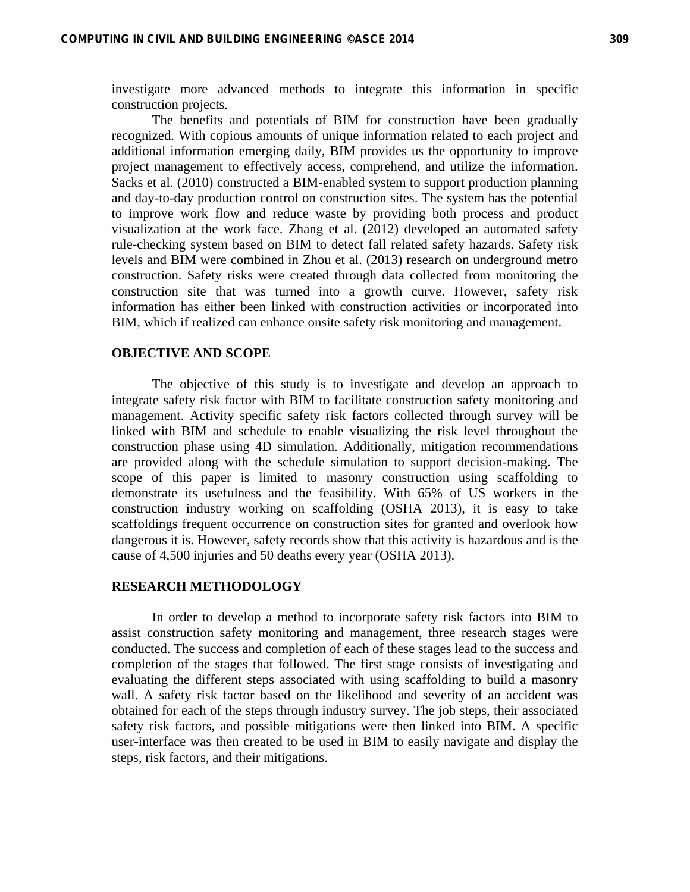investigate more advanced methods to integrate this information in specific construction projects.

The benefits and potentials of BIM for construction have been gradually recognized. With copious amounts of unique information related to each project and additional information emerging daily, BIM provides us the opportunity to improve project management to effectively access, comprehend, and utilize the information. Sacks et al. (2010) constructed a BIM-enabled system to support production planning and day-to-day production control on construction sites. The system has the potential to improve work flow and reduce waste by providing both process and product visualization at the work face. Zhang et al. (2012) developed an automated safety rule-checking system based on BIM to detect fall related safety hazards. Safety risk levels and BIM were combined in Zhou et al. (2013) research on underground metro construction. Safety risks were created through data collected from monitoring the construction site that was turned into a growth curve. However, safety risk information has either been linked with construction activities or incorporated into BIM, which if realized can enhance onsite safety risk monitoring and management.

### **OBJECTIVE AND SCOPE**

The objective of this study is to investigate and develop an approach to integrate safety risk factor with BIM to facilitate construction safety monitoring and management. Activity specific safety risk factors collected through survey will be linked with BIM and schedule to enable visualizing the risk level throughout the construction phase using 4D simulation. Additionally, mitigation recommendations are provided along with the schedule simulation to support decision-making. The scope of this paper is limited to masonry construction using scaffolding to demonstrate its usefulness and the feasibility. With 65% of US workers in the construction industry working on scaffolding (OSHA 2013), it is easy to take scaffoldings frequent occurrence on construction sites for granted and overlook how dangerous it is. However, safety records show that this activity is hazardous and is the cause of 4,500 injuries and 50 deaths every year (OSHA 2013).

#### **RESEARCH METHODOLOGY**

 In order to develop a method to incorporate safety risk factors into BIM to assist construction safety monitoring and management, three research stages were conducted. The success and completion of each of these stages lead to the success and completion of the stages that followed. The first stage consists of investigating and evaluating the different steps associated with using scaffolding to build a masonry wall. A safety risk factor based on the likelihood and severity of an accident was obtained for each of the steps through industry survey. The job steps, their associated safety risk factors, and possible mitigations were then linked into BIM. A specific user-interface was then created to be used in BIM to easily navigate and display the steps, risk factors, and their mitigations.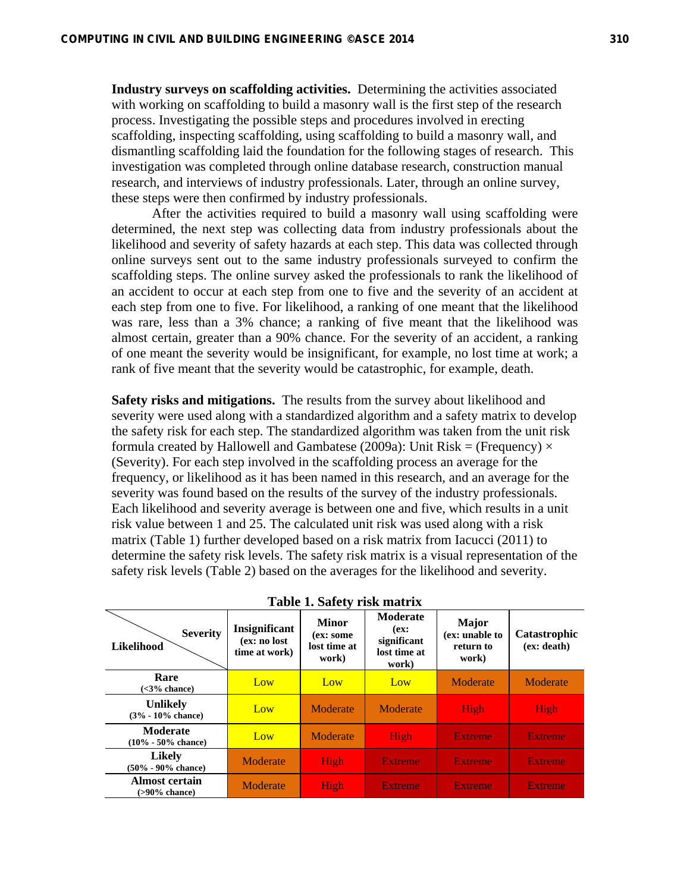**Industry surveys on scaffolding activities.** Determining the activities associated with working on scaffolding to build a masonry wall is the first step of the research process. Investigating the possible steps and procedures involved in erecting scaffolding, inspecting scaffolding, using scaffolding to build a masonry wall, and dismantling scaffolding laid the foundation for the following stages of research. This investigation was completed through online database research, construction manual research, and interviews of industry professionals. Later, through an online survey, these steps were then confirmed by industry professionals.

After the activities required to build a masonry wall using scaffolding were determined, the next step was collecting data from industry professionals about the likelihood and severity of safety hazards at each step. This data was collected through online surveys sent out to the same industry professionals surveyed to confirm the scaffolding steps. The online survey asked the professionals to rank the likelihood of an accident to occur at each step from one to five and the severity of an accident at each step from one to five. For likelihood, a ranking of one meant that the likelihood was rare, less than a 3% chance; a ranking of five meant that the likelihood was almost certain, greater than a 90% chance. For the severity of an accident, a ranking of one meant the severity would be insignificant, for example, no lost time at work; a rank of five meant that the severity would be catastrophic, for example, death.

**Safety risks and mitigations.** The results from the survey about likelihood and severity were used along with a standardized algorithm and a safety matrix to develop the safety risk for each step. The standardized algorithm was taken from the unit risk formula created by Hallowell and Gambatese (2009a): Unit Risk = (Frequency)  $\times$ (Severity). For each step involved in the scaffolding process an average for the frequency, or likelihood as it has been named in this research, and an average for the severity was found based on the results of the survey of the industry professionals. Each likelihood and severity average is between one and five, which results in a unit risk value between 1 and 25. The calculated unit risk was used along with a risk matrix (Table 1) further developed based on a risk matrix from Iacucci (2011) to determine the safety risk levels. The safety risk matrix is a visual representation of the safety risk levels (Table 2) based on the averages for the likelihood and severity.

| Table 1. Balcty Tisk matrix                       |                                                |                                                    |                                                                 |                                               |                                    |
|---------------------------------------------------|------------------------------------------------|----------------------------------------------------|-----------------------------------------------------------------|-----------------------------------------------|------------------------------------|
| <b>Severity</b><br>Likelihood                     | Insignificant<br>(ex: no lost<br>time at work) | <b>Minor</b><br>(ex: some<br>lost time at<br>work) | <b>Moderate</b><br>(ex:<br>significant<br>lost time at<br>work) | Major<br>(ex: unable to<br>return to<br>work) | <b>Catastrophic</b><br>(ex: death) |
| Rare<br>$(<3%$ chance)                            | Low                                            | Low                                                | Low                                                             | Moderate                                      | Moderate                           |
| <b>Unlikely</b><br>$(3% - 10%$ chance)            | Low                                            | Moderate                                           | Moderate                                                        | High                                          | High                               |
| <b>Moderate</b><br>$(10\% - 50\% \text{ chance})$ | Low                                            | Moderate                                           | High                                                            | <b>Extreme</b>                                | <b>Extreme</b>                     |
| Likely<br>$(50\% - 90\% \text{ chance})$          | Moderate                                       | High                                               | <b>Extreme</b>                                                  | <b>Extreme</b>                                | <b>Extreme</b>                     |
| <b>Almost certain</b><br>$(>90\%$ chance)         | Moderate                                       | High                                               | <b>Extreme</b>                                                  | <b>Extreme</b>                                | <b>Extreme</b>                     |

| Table 1. Safety risk matrix |  |
|-----------------------------|--|
|-----------------------------|--|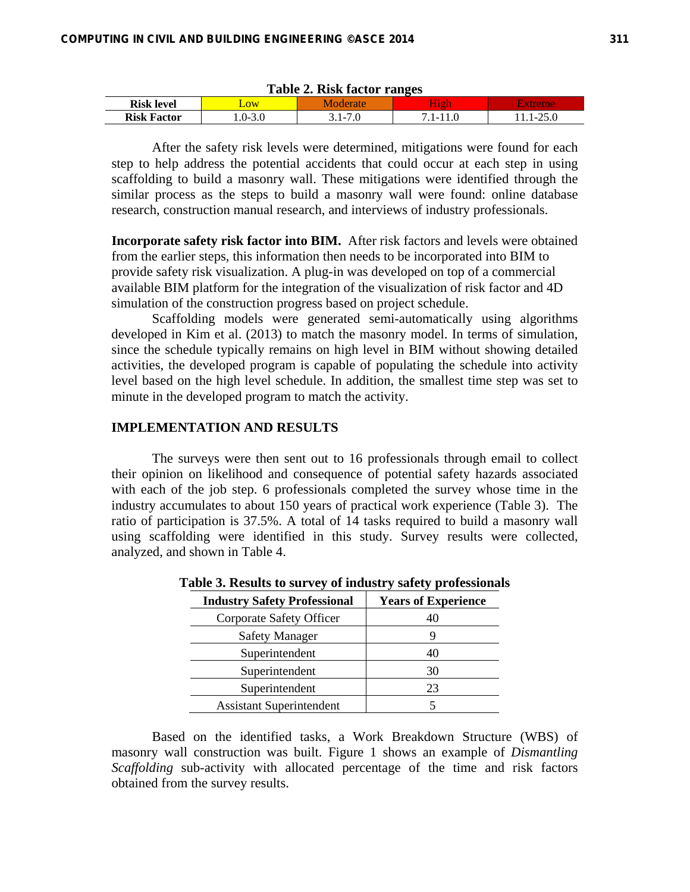| Table 2. KISK Tactor Tanges |        |         |         |              |
|-----------------------------|--------|---------|---------|--------------|
| <b>Risk level</b>           | ow     |         |         |              |
| <b>Risk Factor</b>          | .0-3.0 | 3.1-7.0 | 71-11 6 | $\mathbf{r}$ |

| <b>Table 2. Risk factor ranges</b> |  |  |  |
|------------------------------------|--|--|--|
|------------------------------------|--|--|--|

After the safety risk levels were determined, mitigations were found for each step to help address the potential accidents that could occur at each step in using scaffolding to build a masonry wall. These mitigations were identified through the similar process as the steps to build a masonry wall were found: online database research, construction manual research, and interviews of industry professionals.

**Incorporate safety risk factor into BIM.** After risk factors and levels were obtained from the earlier steps, this information then needs to be incorporated into BIM to provide safety risk visualization. A plug-in was developed on top of a commercial available BIM platform for the integration of the visualization of risk factor and 4D simulation of the construction progress based on project schedule.

 Scaffolding models were generated semi-automatically using algorithms developed in Kim et al. (2013) to match the masonry model. In terms of simulation, since the schedule typically remains on high level in BIM without showing detailed activities, the developed program is capable of populating the schedule into activity level based on the high level schedule. In addition, the smallest time step was set to minute in the developed program to match the activity.

# **IMPLEMENTATION AND RESULTS**

 The surveys were then sent out to 16 professionals through email to collect their opinion on likelihood and consequence of potential safety hazards associated with each of the job step. 6 professionals completed the survey whose time in the industry accumulates to about 150 years of practical work experience (Table 3). The ratio of participation is 37.5%. A total of 14 tasks required to build a masonry wall using scaffolding were identified in this study. Survey results were collected, analyzed, and shown in Table 4.

| <b>Industry Safety Professional</b> | <b>Years of Experience</b> |
|-------------------------------------|----------------------------|
| Corporate Safety Officer            | 40                         |
| <b>Safety Manager</b>               |                            |
| Superintendent                      |                            |
| Superintendent                      | 30                         |
| Superintendent                      | 23                         |
| <b>Assistant Superintendent</b>     |                            |

**Table 3. Results to survey of industry safety professionals** 

 Based on the identified tasks, a Work Breakdown Structure (WBS) of masonry wall construction was built. Figure 1 shows an example of *Dismantling Scaffolding* sub-activity with allocated percentage of the time and risk factors obtained from the survey results.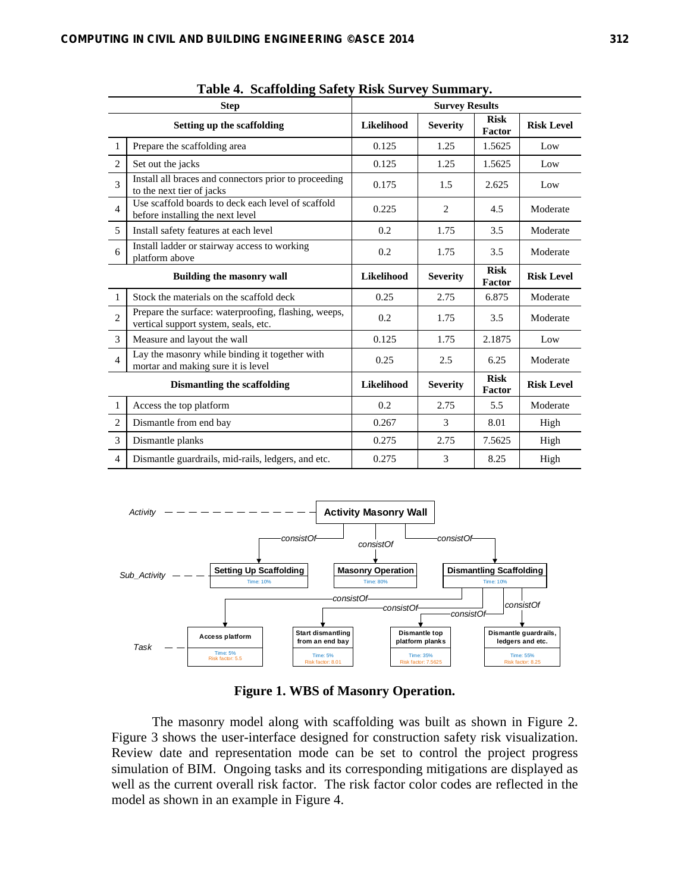| <b>Step</b>    |                                                                                              | <b>Survey Results</b> |                 |                       |                   |
|----------------|----------------------------------------------------------------------------------------------|-----------------------|-----------------|-----------------------|-------------------|
|                | Setting up the scaffolding                                                                   | <b>Likelihood</b>     | <b>Severity</b> | <b>Risk</b><br>Factor | <b>Risk Level</b> |
| $\mathbf{1}$   | Prepare the scaffolding area                                                                 | 0.125                 | 1.25            | 1.5625                | Low               |
| 2              | Set out the jacks                                                                            | 0.125                 | 1.25            | 1.5625                | Low               |
| $\overline{3}$ | Install all braces and connectors prior to proceeding<br>to the next tier of jacks           | 0.175                 | 1.5             | 2.625                 | Low               |
| $\overline{4}$ | Use scaffold boards to deck each level of scaffold<br>before installing the next level       | 0.225                 | $\overline{c}$  | 4.5                   | Moderate          |
| 5              | Install safety features at each level                                                        | 0.2                   | 1.75            | 3.5                   | Moderate          |
| 6              | Install ladder or stairway access to working<br>platform above                               | 0.2                   | 1.75            | 3.5                   | Moderate          |
|                | <b>Building the masonry wall</b>                                                             | <b>Likelihood</b>     | <b>Severity</b> | <b>Risk</b><br>Factor | <b>Risk Level</b> |
| $\mathbf{1}$   | Stock the materials on the scaffold deck                                                     | 0.25                  | 2.75            | 6.875                 | Moderate          |
| $\overline{2}$ | Prepare the surface: waterproofing, flashing, weeps,<br>vertical support system, seals, etc. | 0.2                   | 1.75            | 3.5                   | Moderate          |
| 3              | Measure and layout the wall                                                                  | 0.125                 | 1.75            | 2.1875                | Low               |
| $\overline{4}$ | Lay the masonry while binding it together with<br>mortar and making sure it is level         | 0.25                  | 2.5             | 6.25                  | Moderate          |
|                | Dismantling the scaffolding                                                                  | <b>Likelihood</b>     | <b>Severity</b> | <b>Risk</b><br>Factor | <b>Risk Level</b> |
| -1             | Access the top platform                                                                      | 0.2                   | 2.75            | 5.5                   | Moderate          |
| $\overline{2}$ | Dismantle from end bay                                                                       | 0.267                 | 3               | 8.01                  | High              |
| 3              | Dismantle planks                                                                             | 0.275                 | 2.75            | 7.5625                | High              |
| $\overline{4}$ | Dismantle guardrails, mid-rails, ledgers, and etc.                                           | 0.275                 | 3               | 8.25                  | High              |

**Table 4. Scaffolding Safety Risk Survey Summary.** 





 The masonry model along with scaffolding was built as shown in Figure 2. Figure 3 shows the user-interface designed for construction safety risk visualization. Review date and representation mode can be set to control the project progress simulation of BIM. Ongoing tasks and its corresponding mitigations are displayed as well as the current overall risk factor. The risk factor color codes are reflected in the model as shown in an example in Figure 4.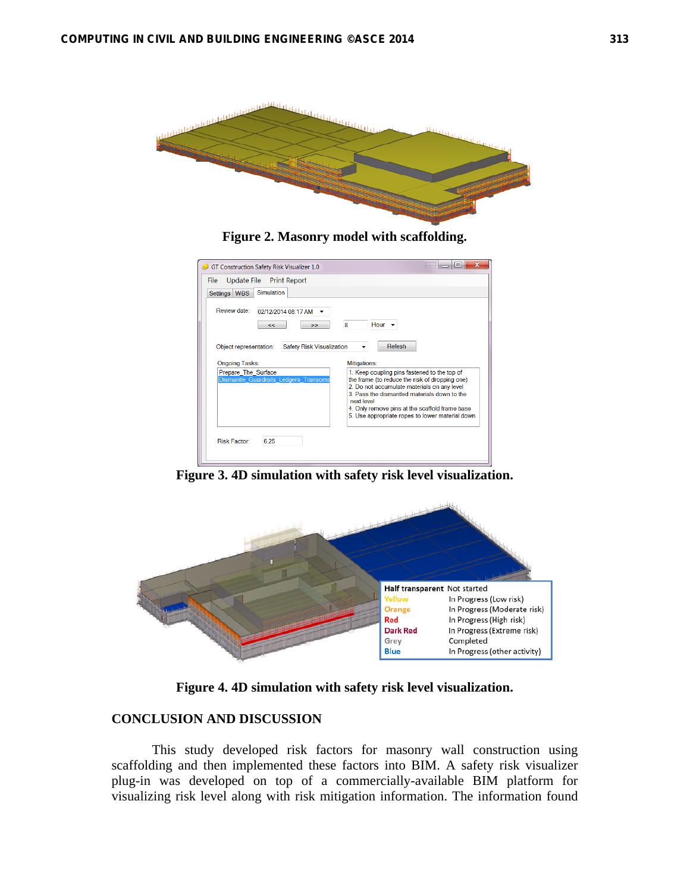

**Figure 2. Masonry model with scaffolding.** 

| GT Construction Safety Risk Visualizer 1.0                           | X<br>$=$                                                                                                                                                                                                                                                                                                         |
|----------------------------------------------------------------------|------------------------------------------------------------------------------------------------------------------------------------------------------------------------------------------------------------------------------------------------------------------------------------------------------------------|
| Update File Print Report<br><b>File</b>                              |                                                                                                                                                                                                                                                                                                                  |
| <b>Simulation</b><br>Settings WBS                                    |                                                                                                                                                                                                                                                                                                                  |
| Review date:<br>02/12/2014 08:17 AM $\rightarrow$<br>$\lt$<br>$\geq$ | 8<br>Hour                                                                                                                                                                                                                                                                                                        |
| <b>Safety Risk Visualization</b><br>Object representation:           | Refesh                                                                                                                                                                                                                                                                                                           |
| <b>Ongoing Tasks:</b>                                                | Mitigations:                                                                                                                                                                                                                                                                                                     |
| Prepare The Surface<br>Dismantle Guardrails Ledgers Transoms         | 1. Keep coupling pins fastened to the top of<br>the frame (to reduce the risk of dropping one)<br>2. Do not accumulate materials on any level<br>3. Pass the dismantled materials down to the<br>next level<br>4. Only remove pins at the scaffold frame base<br>5. Use appropriate ropes to lower material down |
| 6 25<br><b>Risk Factor:</b>                                          |                                                                                                                                                                                                                                                                                                                  |

**Figure 3. 4D simulation with safety risk level visualization.** 



**Figure 4. 4D simulation with safety risk level visualization.** 

# **CONCLUSION AND DISCUSSION**

This study developed risk factors for masonry wall construction using scaffolding and then implemented these factors into BIM. A safety risk visualizer plug-in was developed on top of a commercially-available BIM platform for visualizing risk level along with risk mitigation information. The information found